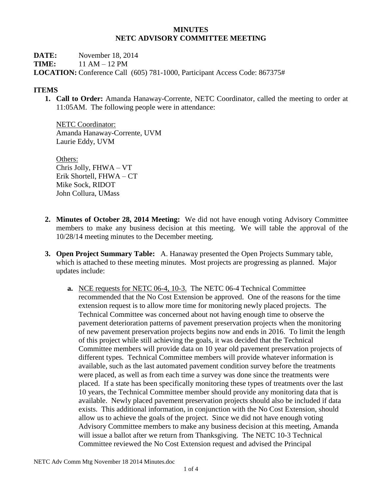#### **MINUTES NETC ADVISORY COMMITTEE MEETING**

**DATE:** November 18, 2014 **TIME:** 11 AM – 12 PM **LOCATION:** Conference Call (605) 781-1000, Participant Access Code: 867375#

### **ITEMS**

**1. Call to Order:** Amanda Hanaway-Corrente, NETC Coordinator, called the meeting to order at 11:05AM. The following people were in attendance:

NETC Coordinator: Amanda Hanaway-Corrente, UVM Laurie Eddy, UVM

Others: Chris Jolly, FHWA – VT Erik Shortell, FHWA – CT Mike Sock, RIDOT John Collura, UMass

- **2. Minutes of October 28, 2014 Meeting:** We did not have enough voting Advisory Committee members to make any business decision at this meeting. We will table the approval of the 10/28/14 meeting minutes to the December meeting.
- **3. Open Project Summary Table:** A. Hanaway presented the Open Projects Summary table, which is attached to these meeting minutes. Most projects are progressing as planned. Major updates include:
	- **a.** NCE requests for NETC 06-4, 10-3. The NETC 06-4 Technical Committee recommended that the No Cost Extension be approved. One of the reasons for the time extension request is to allow more time for monitoring newly placed projects. The Technical Committee was concerned about not having enough time to observe the pavement deterioration patterns of pavement preservation projects when the monitoring of new pavement preservation projects begins now and ends in 2016. To limit the length of this project while still achieving the goals, it was decided that the Technical Committee members will provide data on 10 year old pavement preservation projects of different types. Technical Committee members will provide whatever information is available, such as the last automated pavement condition survey before the treatments were placed, as well as from each time a survey was done since the treatments were placed. If a state has been specifically monitoring these types of treatments over the last 10 years, the Technical Committee member should provide any monitoring data that is available. Newly placed pavement preservation projects should also be included if data exists. This additional information, in conjunction with the No Cost Extension, should allow us to achieve the goals of the project. Since we did not have enough voting Advisory Committee members to make any business decision at this meeting, Amanda will issue a ballot after we return from Thanksgiving. The NETC 10-3 Technical Committee reviewed the No Cost Extension request and advised the Principal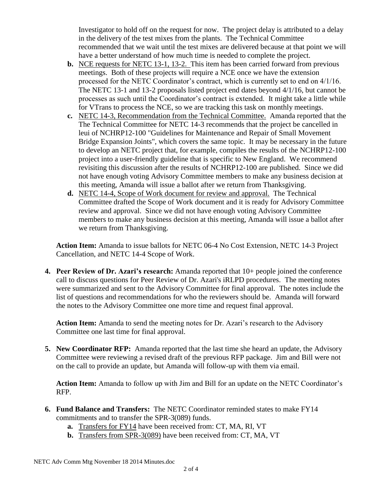Investigator to hold off on the request for now. The project delay is attributed to a delay in the delivery of the test mixes from the plants. The Technical Committee recommended that we wait until the test mixes are delivered because at that point we will have a better understand of how much time is needed to complete the project.

- **b.** NCE requests for NETC 13-1, 13-2. This item has been carried forward from previous meetings. Both of these projects will require a NCE once we have the extension processed for the NETC Coordinator's contract, which is currently set to end on 4/1/16. The NETC 13-1 and 13-2 proposals listed project end dates beyond 4/1/16, but cannot be processes as such until the Coordinator's contract is extended. It might take a little while for VTrans to process the NCE, so we are tracking this task on monthly meetings.
- **c.** NETC 14-3, Recommendation from the Technical Committee. Amanda reported that the The Technical Committee for NETC 14-3 recommends that the project be cancelled in leui of NCHRP12-100 "Guidelines for Maintenance and Repair of Small Movement Bridge Expansion Joints", which covers the same topic. It may be necessary in the future to develop an NETC project that, for example, compiles the results of the NCHRP12-100 project into a user-friendly guideline that is specific to New England. We recommend revisiting this discussion after the results of NCHRP12-100 are published. Since we did not have enough voting Advisory Committee members to make any business decision at this meeting, Amanda will issue a ballot after we return from Thanksgiving.
- **d.** NETC 14-4, Scope of Work document for review and approval. The Technical Committee drafted the Scope of Work document and it is ready for Advisory Committee review and approval. Since we did not have enough voting Advisory Committee members to make any business decision at this meeting, Amanda will issue a ballot after we return from Thanksgiving.

**Action Item:** Amanda to issue ballots for NETC 06-4 No Cost Extension, NETC 14-3 Project Cancellation, and NETC 14-4 Scope of Work.

**4. Peer Review of Dr. Azari's research:** Amanda reported that 10+ people joined the conference call to discuss questions for Peer Review of Dr. Azari's iRLPD procedures. The meeting notes were summarized and sent to the Advisory Committee for final approval. The notes include the list of questions and recommendations for who the reviewers should be. Amanda will forward the notes to the Advisory Committee one more time and request final approval.

**Action Item:** Amanda to send the meeting notes for Dr. Azari's research to the Advisory Committee one last time for final approval.

**5. New Coordinator RFP:** Amanda reported that the last time she heard an update, the Advisory Committee were reviewing a revised draft of the previous RFP package. Jim and Bill were not on the call to provide an update, but Amanda will follow-up with them via email.

**Action Item:** Amanda to follow up with Jim and Bill for an update on the NETC Coordinator's RFP.

- **6. Fund Balance and Transfers:** The NETC Coordinator reminded states to make FY14 commitments and to transfer the SPR-3(089) funds.
	- **a.** Transfers for FY14 have been received from: CT, MA, RI, VT
	- **b.** Transfers from SPR-3(089) have been received from: CT, MA, VT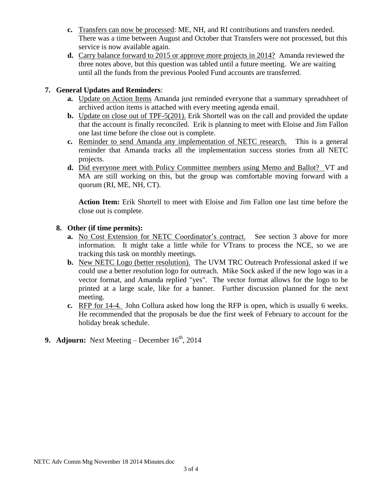- **c.** Transfers can now be processed: ME, NH, and RI contributions and transfers needed. There was a time between August and October that Transfers were not processed, but this service is now available again.
- **d.** Carry balance forward to 2015 or approve more projects in 2014? Amanda reviewed the three notes above, but this question was tabled until a future meeting. We are waiting until all the funds from the previous Pooled Fund accounts are transferred.

## **7. General Updates and Reminders**:

- **a.** Update on Action Items Amanda just reminded everyone that a summary spreadsheet of archived action items is attached with every meeting agenda email.
- **b.** Update on close out of TPF-5(201). Erik Shortell was on the call and provided the update that the account is finally reconciled. Erik is planning to meet with Eloise and Jim Fallon one last time before the close out is complete.
- **c.** Reminder to send Amanda any implementation of NETC research. This is a general reminder that Amanda tracks all the implementation success stories from all NETC projects.
- **d.** Did everyone meet with Policy Committee members using Memo and Ballot? VT and MA are still working on this, but the group was comfortable moving forward with a quorum (RI, ME, NH, CT).

**Action Item:** Erik Shortell to meet with Eloise and Jim Fallon one last time before the close out is complete.

#### **8. Other (if time permits):**

- **a.** No Cost Extension for NETC Coordinator's contract. See section 3 above for more information. It might take a little while for VTrans to process the NCE, so we are tracking this task on monthly meetings.
- **b.** New NETC Logo (better resolution). The UVM TRC Outreach Professional asked if we could use a better resolution logo for outreach. Mike Sock asked if the new logo was in a vector format, and Amanda replied "yes". The vector format allows for the logo to be printed at a large scale, like for a banner. Further discussion planned for the next meeting.
- **c.** RFP for 14-4. John Collura asked how long the RFP is open, which is usually 6 weeks. He recommended that the proposals be due the first week of February to account for the holiday break schedule.

# **9. Adjourn:** Next Meeting – December  $16^{th}$ , 2014